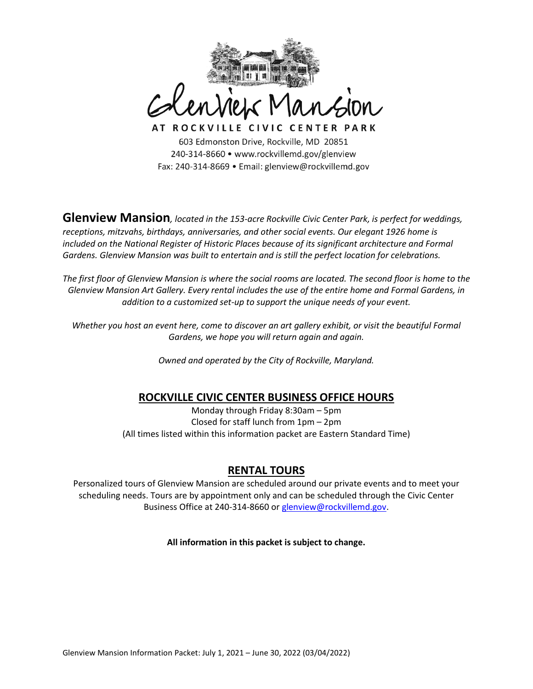

AT ROCKVILLE CIVIC CENTER PARK 603 Edmonston Drive, Rockville, MD 20851 240-314-8660 • www.rockvillemd.gov/glenview Fax: 240-314-8669 · Email: glenview@rockvillemd.gov

**Glenview Mansion***, located in the 153-acre Rockville Civic Center Park, is perfect for weddings, receptions, mitzvahs, birthdays, anniversaries, and other social events. Our elegant 1926 home is included on the National Register of Historic Places because of its significant architecture and Formal Gardens. Glenview Mansion was built to entertain and is still the perfect location for celebrations.*

*The first floor of Glenview Mansion is where the social rooms are located. The second floor is home to the Glenview Mansion Art Gallery. Every rental includes the use of the entire home and Formal Gardens, in addition to a customized set-up to support the unique needs of your event.*

*Whether you host an event here, come to discover an art gallery exhibit, or visit the beautiful Formal Gardens, we hope you will return again and again.*

*Owned and operated by the City of Rockville, Maryland.*

# **ROCKVILLE CIVIC CENTER BUSINESS OFFICE HOURS**

Monday through Friday 8:30am – 5pm Closed for staff lunch from 1pm – 2pm (All times listed within this information packet are Eastern Standard Time)

# **RENTAL TOURS**

Personalized tours of Glenview Mansion are scheduled around our private events and to meet your scheduling needs. Tours are by appointment only and can be scheduled through the Civic Center Business Office at 240-314-8660 or [glenview@rockvillemd.gov.](mailto:glenview@rockvillemd.gov)

**All information in this packet is subject to change.**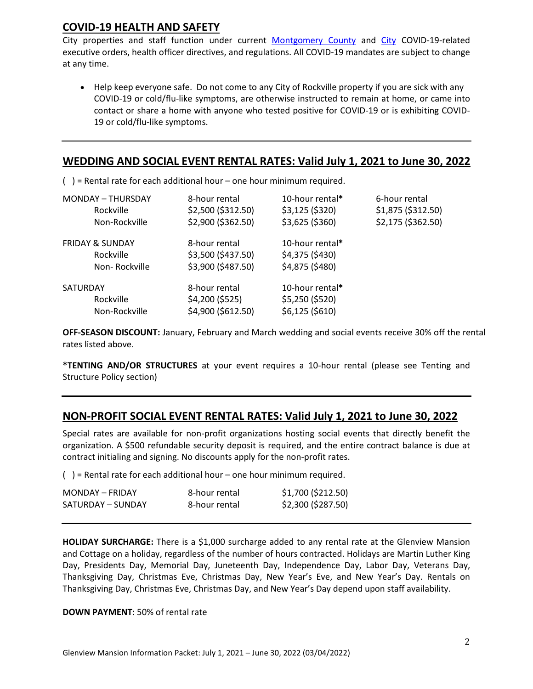# **COVID-19 HEALTH AND SAFETY**

City properties and staff function under current [Montgomery County](https://www.montgomerycountymd.gov/covid19/index.html) and [City](https://www.rockvillemd.gov/2315/COVID-19-Closures-and-Cancellations) COVID-19-related executive orders, health officer directives, and regulations. All COVID-19 mandates are subject to change at any time.

• Help keep everyone safe. Do not come to any City of Rockville property if you are sick with any COVID-19 or cold/flu-like symptoms, are otherwise instructed to remain at home, or came into contact or share a home with anyone who tested positive for COVID-19 or is exhibiting COVID-19 or cold/flu-like symptoms.

### **WEDDING AND SOCIAL EVENT RENTAL RATES: Valid July 1, 2021 to June 30, 2022** i

( ) = Rental rate for each additional hour – one hour minimum required.

| <b>MONDAY - THURSDAY</b>   | 8-hour rental      | 10-hour rental*  | 6-hour rental      |
|----------------------------|--------------------|------------------|--------------------|
| Rockville                  | \$2,500 (\$312.50) | $$3,125$ (\$320) | \$1,875 (\$312.50) |
| Non-Rockville              | \$2,900 (\$362.50) | \$3,625 (\$360)  | \$2,175 (\$362.50) |
| <b>FRIDAY &amp; SUNDAY</b> | 8-hour rental      | 10-hour rental*  |                    |
| Rockville                  | \$3,500 (\$437.50) | \$4,375 (\$430)  |                    |
| Non-Rockville              | \$3,900 (\$487.50) | \$4,875 (\$480)  |                    |
| SATURDAY                   | 8-hour rental      | 10-hour rental*  |                    |
| Rockville                  | \$4,200 (\$525)    | \$5,250 (\$520)  |                    |
| Non-Rockville              | \$4,900 (\$612.50) | $$6,125$ (\$610) |                    |

**OFF-SEASON DISCOUNT:** January, February and March wedding and social events receive 30% off the rental rates listed above.

**\*TENTING AND/OR STRUCTURES** at your event requires a 10-hour rental (please see Tenting and Structure Policy section)

## **NON-PROFIT SOCIAL EVENT RENTAL RATES: Valid July 1, 2021 to June 30, 2022**

Special rates are available for non-profit organizations hosting social events that directly benefit the organization. A \$500 refundable security deposit is required, and the entire contract balance is due at contract initialing and signing. No discounts apply for the non-profit rates.

 $( )$  = Rental rate for each additional hour – one hour minimum required.

| MONDAY - FRIDAY   | 8-hour rental | \$1,700 (\$212.50) |
|-------------------|---------------|--------------------|
| SATURDAY – SUNDAY | 8-hour rental | \$2,300 (\$287.50) |

**HOLIDAY SURCHARGE:** There is a \$1,000 surcharge added to any rental rate at the Glenview Mansion and Cottage on a holiday, regardless of the number of hours contracted. Holidays are Martin Luther King Day, Presidents Day, Memorial Day, Juneteenth Day, Independence Day, Labor Day, Veterans Day, Thanksgiving Day, Christmas Eve, Christmas Day, New Year's Eve, and New Year's Day. Rentals on Thanksgiving Day, Christmas Eve, Christmas Day, and New Year's Day depend upon staff availability.

## **DOWN PAYMENT**: 50% of rental rate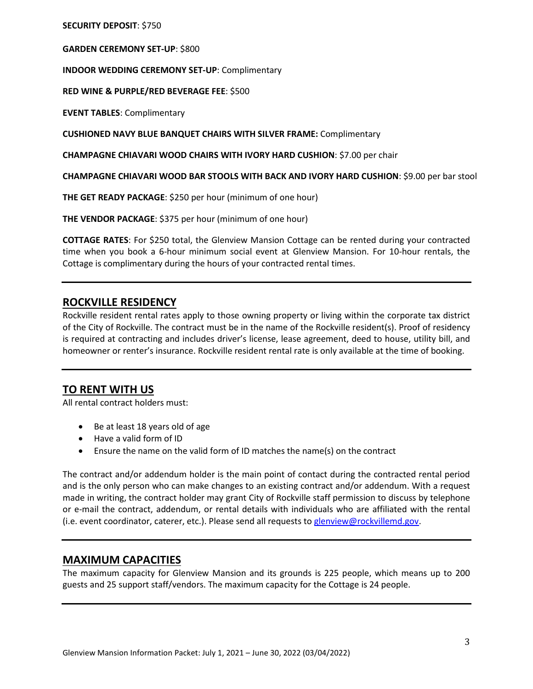**SECURITY DEPOSIT**: \$750

**GARDEN CEREMONY SET-UP**: \$800

**INDOOR WEDDING CEREMONY SET-UP**: Complimentary

**RED WINE & PURPLE/RED BEVERAGE FEE**: \$500

**EVENT TABLES**: Complimentary

**CUSHIONED NAVY BLUE BANQUET CHAIRS WITH SILVER FRAME:** Complimentary

**CHAMPAGNE CHIAVARI WOOD CHAIRS WITH IVORY HARD CUSHION**: \$7.00 per chair

**CHAMPAGNE CHIAVARI WOOD BAR STOOLS WITH BACK AND IVORY HARD CUSHION**: \$9.00 per bar stool

**THE GET READY PACKAGE**: \$250 per hour (minimum of one hour)

**THE VENDOR PACKAGE**: \$375 per hour (minimum of one hour)

**COTTAGE RATES**: For \$250 total, the Glenview Mansion Cottage can be rented during your contracted time when you book a 6-hour minimum social event at Glenview Mansion. For 10-hour rentals, the Cottage is complimentary during the hours of your contracted rental times.

## **ROCKVILLE RESIDENCY**

Rockville resident rental rates apply to those owning property or living within the corporate tax district of the City of Rockville. The contract must be in the name of the Rockville resident(s). Proof of residency is required at contracting and includes driver's license, lease agreement, deed to house, utility bill, and homeowner or renter's insurance. Rockville resident rental rate is only available at the time of booking.

## **TO RENT WITH US**

All rental contract holders must:

- Be at least 18 years old of age
- Have a valid form of ID
- Ensure the name on the valid form of ID matches the name(s) on the contract

The contract and/or addendum holder is the main point of contact during the contracted rental period and is the only person who can make changes to an existing contract and/or addendum. With a request made in writing, the contract holder may grant City of Rockville staff permission to discuss by telephone or e-mail the contract, addendum, or rental details with individuals who are affiliated with the rental (i.e. event coordinator, caterer, etc.). Please send all requests to [glenview@rockvillemd.gov.](mailto:glenview@rockvillemd.gov)

## **MAXIMUM CAPACITIES**

The maximum capacity for Glenview Mansion and its grounds is 225 people, which means up to 200 guests and 25 support staff/vendors. The maximum capacity for the Cottage is 24 people.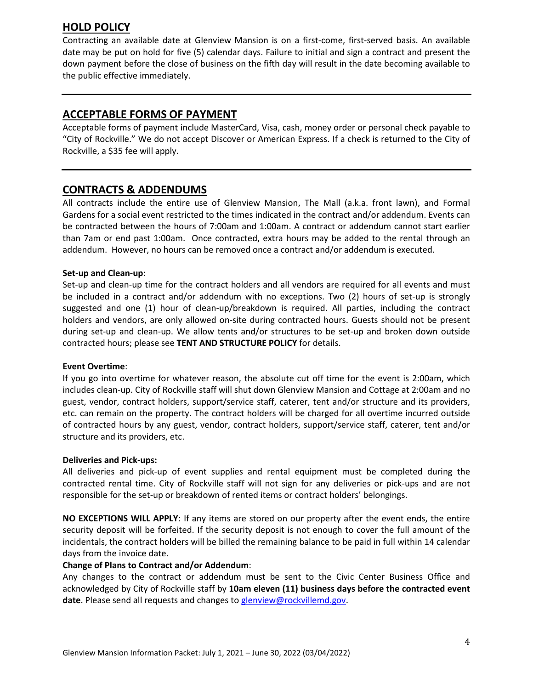# **HOLD POLICY**

Contracting an available date at Glenview Mansion is on a first-come, first-served basis. An available date may be put on hold for five (5) calendar days. Failure to initial and sign a contract and present the down payment before the close of business on the fifth day will result in the date becoming available to the public effective immediately.

# **ACCEPTABLE FORMS OF PAYMENT**

Acceptable forms of payment include MasterCard, Visa, cash, money order or personal check payable to "City of Rockville." We do not accept Discover or American Express. If a check is returned to the City of Rockville, a \$35 fee will apply.

## **CONTRACTS & ADDENDUMS**

All contracts include the entire use of Glenview Mansion, The Mall (a.k.a. front lawn), and Formal Gardens for a social event restricted to the times indicated in the contract and/or addendum. Events can be contracted between the hours of 7:00am and 1:00am. A contract or addendum cannot start earlier than 7am or end past 1:00am. Once contracted, extra hours may be added to the rental through an addendum. However, no hours can be removed once a contract and/or addendum is executed.

## **Set-up and Clean-up**:

Set-up and clean-up time for the contract holders and all vendors are required for all events and must be included in a contract and/or addendum with no exceptions. Two (2) hours of set-up is strongly suggested and one (1) hour of clean-up/breakdown is required. All parties, including the contract holders and vendors, are only allowed on-site during contracted hours. Guests should not be present during set-up and clean-up. We allow tents and/or structures to be set-up and broken down outside contracted hours; please see **TENT AND STRUCTURE POLICY** for details.

### **Event Overtime**:

If you go into overtime for whatever reason, the absolute cut off time for the event is 2:00am, which includes clean-up. City of Rockville staff will shut down Glenview Mansion and Cottage at 2:00am and no guest, vendor, contract holders, support/service staff, caterer, tent and/or structure and its providers, etc. can remain on the property. The contract holders will be charged for all overtime incurred outside of contracted hours by any guest, vendor, contract holders, support/service staff, caterer, tent and/or structure and its providers, etc.

### **Deliveries and Pick-ups:**

All deliveries and pick-up of event supplies and rental equipment must be completed during the contracted rental time. City of Rockville staff will not sign for any deliveries or pick-ups and are not responsible for the set-up or breakdown of rented items or contract holders' belongings.

**NO EXCEPTIONS WILL APPLY**: If any items are stored on our property after the event ends, the entire security deposit will be forfeited. If the security deposit is not enough to cover the full amount of the incidentals, the contract holders will be billed the remaining balance to be paid in full within 14 calendar days from the invoice date.

### **Change of Plans to Contract and/or Addendum**:

Any changes to the contract or addendum must be sent to the Civic Center Business Office and acknowledged by City of Rockville staff by **10am eleven (11) business days before the contracted event**  date. Please send all requests and changes to [glenview@rockvillemd.gov.](mailto:glenview@rockvillemd.gov)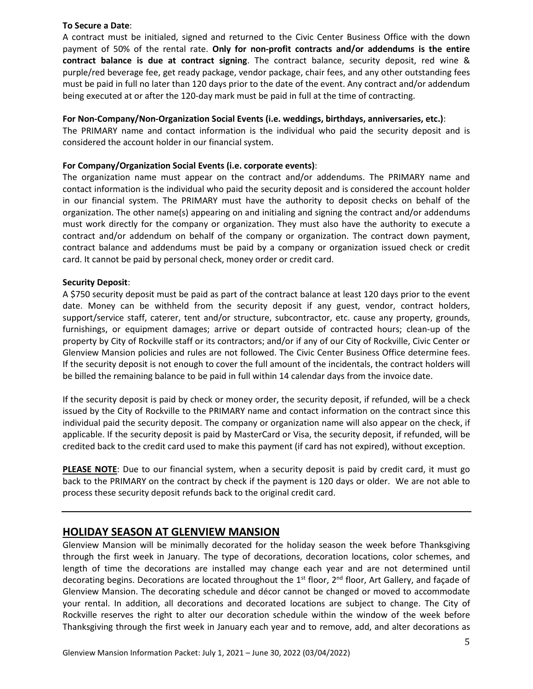#### **To Secure a Date**:

A contract must be initialed, signed and returned to the Civic Center Business Office with the down payment of 50% of the rental rate. **Only for non-profit contracts and/or addendums is the entire contract balance is due at contract signing**. The contract balance, security deposit, red wine & purple/red beverage fee, get ready package, vendor package, chair fees, and any other outstanding fees must be paid in full no later than 120 days prior to the date of the event. Any contract and/or addendum being executed at or after the 120-day mark must be paid in full at the time of contracting.

### **For Non-Company/Non-Organization Social Events (i.e. weddings, birthdays, anniversaries, etc.)**:

The PRIMARY name and contact information is the individual who paid the security deposit and is considered the account holder in our financial system.

#### **For Company/Organization Social Events (i.e. corporate events)**:

The organization name must appear on the contract and/or addendums. The PRIMARY name and contact information is the individual who paid the security deposit and is considered the account holder in our financial system. The PRIMARY must have the authority to deposit checks on behalf of the organization. The other name(s) appearing on and initialing and signing the contract and/or addendums must work directly for the company or organization. They must also have the authority to execute a contract and/or addendum on behalf of the company or organization. The contract down payment, contract balance and addendums must be paid by a company or organization issued check or credit card. It cannot be paid by personal check, money order or credit card.

#### **Security Deposit**:

A \$750 security deposit must be paid as part of the contract balance at least 120 days prior to the event date. Money can be withheld from the security deposit if any guest, vendor, contract holders, support/service staff, caterer, tent and/or structure, subcontractor, etc. cause any property, grounds, furnishings, or equipment damages; arrive or depart outside of contracted hours; clean-up of the property by City of Rockville staff or its contractors; and/or if any of our City of Rockville, Civic Center or Glenview Mansion policies and rules are not followed. The Civic Center Business Office determine fees. If the security deposit is not enough to cover the full amount of the incidentals, the contract holders will be billed the remaining balance to be paid in full within 14 calendar days from the invoice date.

If the security deposit is paid by check or money order, the security deposit, if refunded, will be a check issued by the City of Rockville to the PRIMARY name and contact information on the contract since this individual paid the security deposit. The company or organization name will also appear on the check, if applicable. If the security deposit is paid by MasterCard or Visa, the security deposit, if refunded, will be credited back to the credit card used to make this payment (if card has not expired), without exception.

**PLEASE NOTE**: Due to our financial system, when a security deposit is paid by credit card, it must go back to the PRIMARY on the contract by check if the payment is 120 days or older. We are not able to process these security deposit refunds back to the original credit card.

## **HOLIDAY SEASON AT GLENVIEW MANSION**

Glenview Mansion will be minimally decorated for the holiday season the week before Thanksgiving through the first week in January. The type of decorations, decoration locations, color schemes, and length of time the decorations are installed may change each year and are not determined until decorating begins. Decorations are located throughout the 1<sup>st</sup> floor, 2<sup>nd</sup> floor, Art Gallery, and façade of Glenview Mansion. The decorating schedule and décor cannot be changed or moved to accommodate your rental. In addition, all decorations and decorated locations are subject to change. The City of Rockville reserves the right to alter our decoration schedule within the window of the week before Thanksgiving through the first week in January each year and to remove, add, and alter decorations as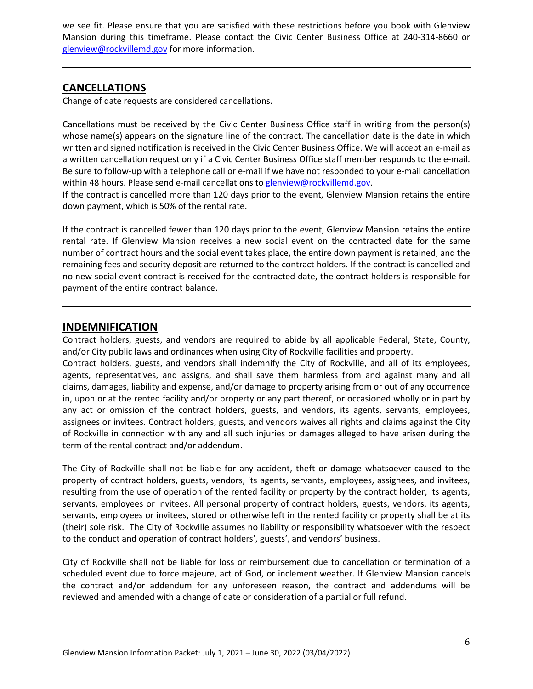we see fit. Please ensure that you are satisfied with these restrictions before you book with Glenview Mansion during this timeframe. Please contact the Civic Center Business Office at 240-314-8660 or [glenview@rockvillemd.gov](mailto:glenview@rockvillemd.gov) for more information.

# **CANCELLATIONS**

Change of date requests are considered cancellations.

Cancellations must be received by the Civic Center Business Office staff in writing from the person(s) whose name(s) appears on the signature line of the contract. The cancellation date is the date in which written and signed notification is received in the Civic Center Business Office. We will accept an e-mail as a written cancellation request only if a Civic Center Business Office staff member responds to the e-mail. Be sure to follow-up with a telephone call or e-mail if we have not responded to your e-mail cancellation within 48 hours. Please send e-mail cancellations to [glenview@rockvillemd.gov.](mailto:glenview@rockvillemd.gov)

If the contract is cancelled more than 120 days prior to the event, Glenview Mansion retains the entire down payment, which is 50% of the rental rate.

If the contract is cancelled fewer than 120 days prior to the event, Glenview Mansion retains the entire rental rate. If Glenview Mansion receives a new social event on the contracted date for the same number of contract hours and the social event takes place, the entire down payment is retained, and the remaining fees and security deposit are returned to the contract holders. If the contract is cancelled and no new social event contract is received for the contracted date, the contract holders is responsible for payment of the entire contract balance.

## **INDEMNIFICATION**

Contract holders, guests, and vendors are required to abide by all applicable Federal, State, County, and/or City public laws and ordinances when using City of Rockville facilities and property. Contract holders, guests, and vendors shall indemnify the City of Rockville, and all of its employees,

agents, representatives, and assigns, and shall save them harmless from and against many and all claims, damages, liability and expense, and/or damage to property arising from or out of any occurrence in, upon or at the rented facility and/or property or any part thereof, or occasioned wholly or in part by any act or omission of the contract holders, guests, and vendors, its agents, servants, employees, assignees or invitees. Contract holders, guests, and vendors waives all rights and claims against the City of Rockville in connection with any and all such injuries or damages alleged to have arisen during the term of the rental contract and/or addendum.

The City of Rockville shall not be liable for any accident, theft or damage whatsoever caused to the property of contract holders, guests, vendors, its agents, servants, employees, assignees, and invitees, resulting from the use of operation of the rented facility or property by the contract holder, its agents, servants, employees or invitees. All personal property of contract holders, guests, vendors, its agents, servants, employees or invitees, stored or otherwise left in the rented facility or property shall be at its (their) sole risk.The City of Rockville assumes no liability or responsibility whatsoever with the respect to the conduct and operation of contract holders', guests', and vendors' business.

City of Rockville shall not be liable for loss or reimbursement due to cancellation or termination of a scheduled event due to force majeure, act of God, or inclement weather. If Glenview Mansion cancels the contract and/or addendum for any unforeseen reason, the contract and addendums will be reviewed and amended with a change of date or consideration of a partial or full refund.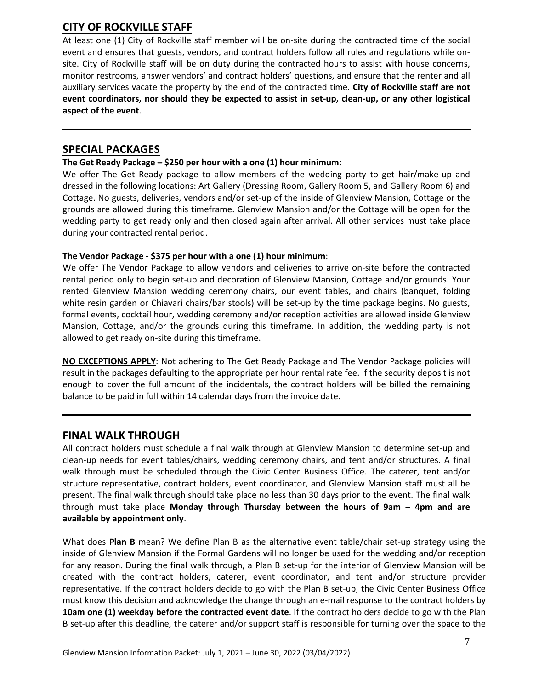# **CITY OF ROCKVILLE STAFF**

At least one (1) City of Rockville staff member will be on-site during the contracted time of the social event and ensures that guests, vendors, and contract holders follow all rules and regulations while onsite. City of Rockville staff will be on duty during the contracted hours to assist with house concerns, monitor restrooms, answer vendors' and contract holders' questions, and ensure that the renter and all auxiliary services vacate the property by the end of the contracted time. **City of Rockville staff are not event coordinators, nor should they be expected to assist in set-up, clean-up, or any other logistical aspect of the event**.

## **SPECIAL PACKAGES**

## **The Get Ready Package – \$250 per hour with a one (1) hour minimum**:

We offer The Get Ready package to allow members of the wedding party to get hair/make-up and dressed in the following locations: Art Gallery (Dressing Room, Gallery Room 5, and Gallery Room 6) and Cottage. No guests, deliveries, vendors and/or set-up of the inside of Glenview Mansion, Cottage or the grounds are allowed during this timeframe. Glenview Mansion and/or the Cottage will be open for the wedding party to get ready only and then closed again after arrival. All other services must take place during your contracted rental period.

## **The Vendor Package - \$375 per hour with a one (1) hour minimum**:

We offer The Vendor Package to allow vendors and deliveries to arrive on-site before the contracted rental period only to begin set-up and decoration of Glenview Mansion, Cottage and/or grounds. Your rented Glenview Mansion wedding ceremony chairs, our event tables, and chairs (banquet, folding white resin garden or Chiavari chairs/bar stools) will be set-up by the time package begins. No guests, formal events, cocktail hour, wedding ceremony and/or reception activities are allowed inside Glenview Mansion, Cottage, and/or the grounds during this timeframe. In addition, the wedding party is not allowed to get ready on-site during this timeframe.

**NO EXCEPTIONS APPLY**: Not adhering to The Get Ready Package and The Vendor Package policies will result in the packages defaulting to the appropriate per hour rental rate fee. If the security deposit is not enough to cover the full amount of the incidentals, the contract holders will be billed the remaining balance to be paid in full within 14 calendar days from the invoice date.

## **FINAL WALK THROUGH**

All contract holders must schedule a final walk through at Glenview Mansion to determine set-up and clean-up needs for event tables/chairs, wedding ceremony chairs, and tent and/or structures. A final walk through must be scheduled through the Civic Center Business Office. The caterer, tent and/or structure representative, contract holders, event coordinator, and Glenview Mansion staff must all be present. The final walk through should take place no less than 30 days prior to the event. The final walk through must take place **Monday through Thursday between the hours of 9am – 4pm and are available by appointment only**.

What does **Plan B** mean? We define Plan B as the alternative event table/chair set-up strategy using the inside of Glenview Mansion if the Formal Gardens will no longer be used for the wedding and/or reception for any reason. During the final walk through, a Plan B set-up for the interior of Glenview Mansion will be created with the contract holders, caterer, event coordinator, and tent and/or structure provider representative. If the contract holders decide to go with the Plan B set-up, the Civic Center Business Office must know this decision and acknowledge the change through an e-mail response to the contract holders by **10am one (1) weekday before the contracted event date**. If the contract holders decide to go with the Plan B set-up after this deadline, the caterer and/or support staff is responsible for turning over the space to the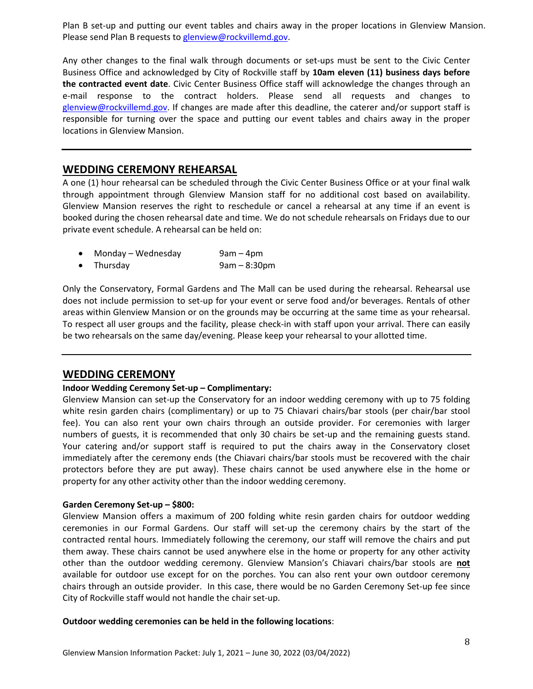Plan B set-up and putting our event tables and chairs away in the proper locations in Glenview Mansion. Please send Plan B requests t[o glenview@rockvillemd.gov.](mailto:glenview@rockvillemd.gov)

Any other changes to the final walk through documents or set-ups must be sent to the Civic Center Business Office and acknowledged by City of Rockville staff by **10am eleven (11) business days before the contracted event date**. Civic Center Business Office staff will acknowledge the changes through an e-mail response to the contract holders. Please send all requests and changes to [glenview@rockvillemd.gov.](mailto:glenview@rockvillemd.gov) If changes are made after this deadline, the caterer and/or support staff is responsible for turning over the space and putting our event tables and chairs away in the proper locations in Glenview Mansion.

## **WEDDING CEREMONY REHEARSAL**

A one (1) hour rehearsal can be scheduled through the Civic Center Business Office or at your final walk through appointment through Glenview Mansion staff for no additional cost based on availability. Glenview Mansion reserves the right to reschedule or cancel a rehearsal at any time if an event is booked during the chosen rehearsal date and time. We do not schedule rehearsals on Fridays due to our private event schedule. A rehearsal can be held on:

|           | Monday - Wednesday | $9am - 4pm$    |
|-----------|--------------------|----------------|
| $\bullet$ | Thursday           | $9am - 8:30pm$ |

Only the Conservatory, Formal Gardens and The Mall can be used during the rehearsal. Rehearsal use does not include permission to set-up for your event or serve food and/or beverages. Rentals of other areas within Glenview Mansion or on the grounds may be occurring at the same time as your rehearsal. To respect all user groups and the facility, please check-in with staff upon your arrival. There can easily be two rehearsals on the same day/evening. Please keep your rehearsal to your allotted time.

## **WEDDING CEREMONY**

### **Indoor Wedding Ceremony Set-up – Complimentary:**

Glenview Mansion can set-up the Conservatory for an indoor wedding ceremony with up to 75 folding white resin garden chairs (complimentary) or up to 75 Chiavari chairs/bar stools (per chair/bar stool fee). You can also rent your own chairs through an outside provider. For ceremonies with larger numbers of guests, it is recommended that only 30 chairs be set-up and the remaining guests stand. Your catering and/or support staff is required to put the chairs away in the Conservatory closet immediately after the ceremony ends (the Chiavari chairs/bar stools must be recovered with the chair protectors before they are put away). These chairs cannot be used anywhere else in the home or property for any other activity other than the indoor wedding ceremony.

#### **Garden Ceremony Set-up – \$800:**

Glenview Mansion offers a maximum of 200 folding white resin garden chairs for outdoor wedding ceremonies in our Formal Gardens. Our staff will set-up the ceremony chairs by the start of the contracted rental hours. Immediately following the ceremony, our staff will remove the chairs and put them away. These chairs cannot be used anywhere else in the home or property for any other activity other than the outdoor wedding ceremony. Glenview Mansion's Chiavari chairs/bar stools are **not** available for outdoor use except for on the porches. You can also rent your own outdoor ceremony chairs through an outside provider. In this case, there would be no Garden Ceremony Set-up fee since City of Rockville staff would not handle the chair set-up.

#### **Outdoor wedding ceremonies can be held in the following locations**: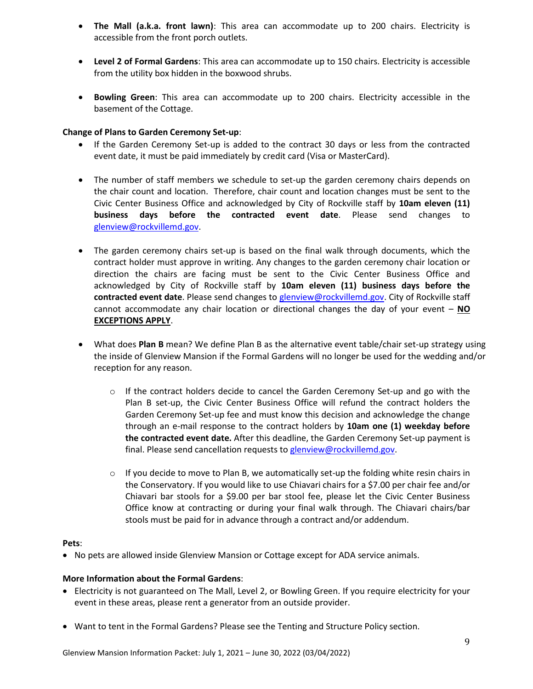- **The Mall (a.k.a. front lawn)**: This area can accommodate up to 200 chairs. Electricity is accessible from the front porch outlets.
- **Level 2 of Formal Gardens**: This area can accommodate up to 150 chairs. Electricity is accessible from the utility box hidden in the boxwood shrubs.
- **Bowling Green**: This area can accommodate up to 200 chairs. Electricity accessible in the basement of the Cottage.

## **Change of Plans to Garden Ceremony Set-up**:

- If the Garden Ceremony Set-up is added to the contract 30 days or less from the contracted event date, it must be paid immediately by credit card (Visa or MasterCard).
- The number of staff members we schedule to set-up the garden ceremony chairs depends on the chair count and location. Therefore, chair count and location changes must be sent to the Civic Center Business Office and acknowledged by City of Rockville staff by **10am eleven (11) business days before the contracted event date**. Please send changes to [glenview@rockvillemd.gov.](mailto:glenview@rockvillemd.gov)
- The garden ceremony chairs set-up is based on the final walk through documents, which the contract holder must approve in writing. Any changes to the garden ceremony chair location or direction the chairs are facing must be sent to the Civic Center Business Office and acknowledged by City of Rockville staff by **10am eleven (11) business days before the contracted event date**. Please send changes to [glenview@rockvillemd.gov.](mailto:glenview@rockvillemd.gov) City of Rockville staff cannot accommodate any chair location or directional changes the day of your event – **NO EXCEPTIONS APPLY**.
- What does **Plan B** mean? We define Plan B as the alternative event table/chair set-up strategy using the inside of Glenview Mansion if the Formal Gardens will no longer be used for the wedding and/or reception for any reason.
	- $\circ$  If the contract holders decide to cancel the Garden Ceremony Set-up and go with the Plan B set-up, the Civic Center Business Office will refund the contract holders the Garden Ceremony Set-up fee and must know this decision and acknowledge the change through an e-mail response to the contract holders by **10am one (1) weekday before the contracted event date.** After this deadline, the Garden Ceremony Set-up payment is final. Please send cancellation requests to [glenview@rockvillemd.gov.](mailto:glenview@rockvillemd.gov)
	- $\circ$  If you decide to move to Plan B, we automatically set-up the folding white resin chairs in the Conservatory. If you would like to use Chiavari chairs for a \$7.00 per chair fee and/or Chiavari bar stools for a \$9.00 per bar stool fee, please let the Civic Center Business Office know at contracting or during your final walk through. The Chiavari chairs/bar stools must be paid for in advance through a contract and/or addendum.

### **Pets**:

• No pets are allowed inside Glenview Mansion or Cottage except for ADA service animals.

### **More Information about the Formal Gardens**:

- Electricity is not guaranteed on The Mall, Level 2, or Bowling Green. If you require electricity for your event in these areas, please rent a generator from an outside provider.
- Want to tent in the Formal Gardens? Please see the Tenting and Structure Policy section.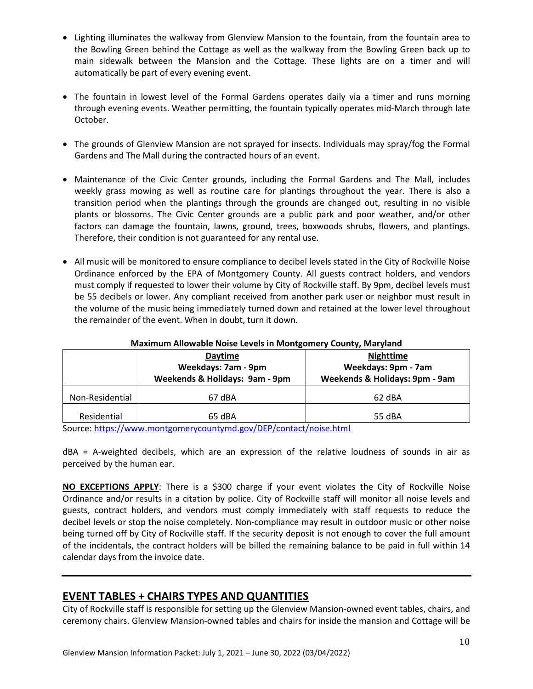- Lighting illuminates the walkway from Glenview Mansion to the fountain, from the fountain area to the Bowling Green behind the Cottage as well as the walkway from the Bowling Green back up to main sidewalk between the Mansion and the Cottage. These lights are on a timer and will automatically be part of every evening event.
- The fountain in lowest level of the Formal Gardens operates daily via a timer and runs morning through evening events. Weather permitting, the fountain typically operates mid-March through late October.
- The grounds of Glenview Mansion are not sprayed for insects. Individuals may spray/fog the Formal Gardens and The Mall during the contracted hours of an event.
- Maintenance of the Civic Center grounds, including the Formal Gardens and The Mall, includes weekly grass mowing as well as routine care for plantings throughout the year. There is also a transition period when the plantings through the grounds are changed out, resulting in no visible plants or blossoms. The Civic Center grounds are a public park and poor weather, and/or other factors can damage the fountain, lawns, ground, trees, boxwoods shrubs, flowers, and plantings. Therefore, their condition is not guaranteed for any rental use.
- All music will be monitored to ensure compliance to decibel levels stated in the City of Rockville Noise Ordinance enforced by the EPA of Montgomery County. All guests contract holders, and vendors must comply if requested to lower their volume by City of Rockville staff. By 9pm, decibel levels must be 55 decibels or lower. Any compliant received from another park user or neighbor must result in the volume of the music being immediately turned down and retained at the lower level throughout the remainder of the event. When in doubt, turn it down.

|                 | <b>Daytime</b><br>Weekdays: 7am - 9pm<br>Weekends & Holidays: 9am - 9pm | <b>Nighttime</b><br>Weekdays: 9pm - 7am<br>Weekends & Holidays: 9pm - 9am |
|-----------------|-------------------------------------------------------------------------|---------------------------------------------------------------------------|
| Non-Residential | 67 dBA                                                                  | 62 dBA                                                                    |
| Residential     | 65 dBA                                                                  | 55 dBA                                                                    |

### **Maximum Allowable Noise Levels in Montgomery County, Maryland**

Source:<https://www.montgomerycountymd.gov/DEP/contact/noise.html>

dBA = A-weighted decibels, which are an expression of the relative loudness of sounds in air as perceived by the human ear.

**NO EXCEPTIONS APPLY**: There is a \$300 charge if your event violates the City of Rockville Noise Ordinance and/or results in a citation by police. City of Rockville staff will monitor all noise levels and guests, contract holders, and vendors must comply immediately with staff requests to reduce the decibel levels or stop the noise completely. Non-compliance may result in outdoor music or other noise being turned off by City of Rockville staff. If the security deposit is not enough to cover the full amount of the incidentals, the contract holders will be billed the remaining balance to be paid in full within 14 calendar days from the invoice date.

# **EVENT TABLES + CHAIRS TYPES AND QUANTITIES**

City of Rockville staff is responsible for setting up the Glenview Mansion-owned event tables, chairs, and ceremony chairs. Glenview Mansion-owned tables and chairs for inside the mansion and Cottage will be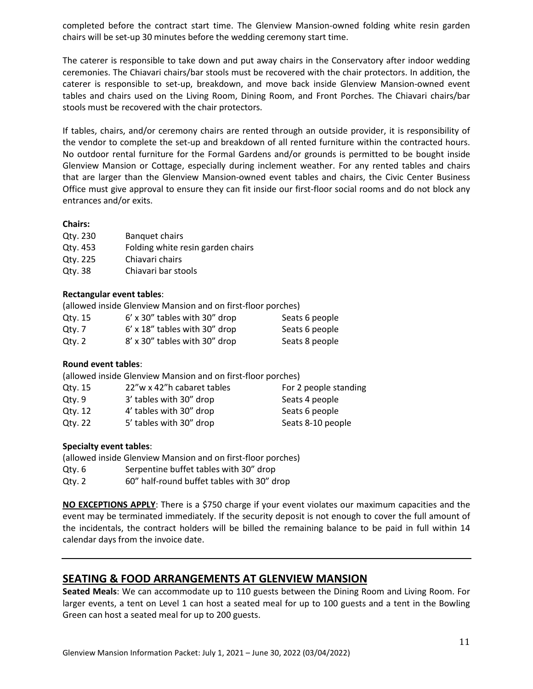completed before the contract start time. The Glenview Mansion-owned folding white resin garden chairs will be set-up 30 minutes before the wedding ceremony start time.

The caterer is responsible to take down and put away chairs in the Conservatory after indoor wedding ceremonies. The Chiavari chairs/bar stools must be recovered with the chair protectors. In addition, the caterer is responsible to set-up, breakdown, and move back inside Glenview Mansion-owned event tables and chairs used on the Living Room, Dining Room, and Front Porches. The Chiavari chairs/bar stools must be recovered with the chair protectors.

If tables, chairs, and/or ceremony chairs are rented through an outside provider, it is responsibility of the vendor to complete the set-up and breakdown of all rented furniture within the contracted hours. No outdoor rental furniture for the Formal Gardens and/or grounds is permitted to be bought inside Glenview Mansion or Cottage, especially during inclement weather. For any rented tables and chairs that are larger than the Glenview Mansion-owned event tables and chairs, the Civic Center Business Office must give approval to ensure they can fit inside our first-floor social rooms and do not block any entrances and/or exits.

#### **Chairs:**

| Qty. 230 | <b>Banquet chairs</b>             |
|----------|-----------------------------------|
| Qtv. 453 | Folding white resin garden chairs |
| Qtv. 225 | Chiavari chairs                   |
| Qtv. 38  | Chiavari bar stools               |

### **Rectangular event tables**:

|         | (allowed inside Glenview Mansion and on first-floor porches) |                |
|---------|--------------------------------------------------------------|----------------|
| Qtv. 15 | $6'$ x 30" tables with 30" drop                              | Seats 6 people |
| Qtv. 7  | $6'$ x 18" tables with 30" drop                              | Seats 6 people |
| Qty.2   | 8' x 30" tables with 30" drop                                | Seats 8 people |

## **Round event tables**:

(allowed inside Glenview Mansion and on first-floor porches)

| Qty. 15 | 22"w x 42"h cabaret tables | For 2 people standing |
|---------|----------------------------|-----------------------|
| Qtv.9   | 3' tables with 30" drop    | Seats 4 people        |
| Qtv. 12 | 4' tables with 30" drop    | Seats 6 people        |
| Qtv. 22 | 5' tables with 30" drop    | Seats 8-10 people     |

### **Specialty event tables**:

| (allowed inside Glenview Mansion and on first-floor porches) |                                            |  |  |
|--------------------------------------------------------------|--------------------------------------------|--|--|
| Qtv. 6                                                       | Serpentine buffet tables with 30" drop     |  |  |
| Qty. 2                                                       | 60" half-round buffet tables with 30" drop |  |  |

**NO EXCEPTIONS APPLY**: There is a \$750 charge if your event violates our maximum capacities and the event may be terminated immediately. If the security deposit is not enough to cover the full amount of the incidentals, the contract holders will be billed the remaining balance to be paid in full within 14 calendar days from the invoice date.

# **SEATING & FOOD ARRANGEMENTS AT GLENVIEW MANSION**

**Seated Meals**: We can accommodate up to 110 guests between the Dining Room and Living Room. For larger events, a tent on Level 1 can host a seated meal for up to 100 guests and a tent in the Bowling Green can host a seated meal for up to 200 guests.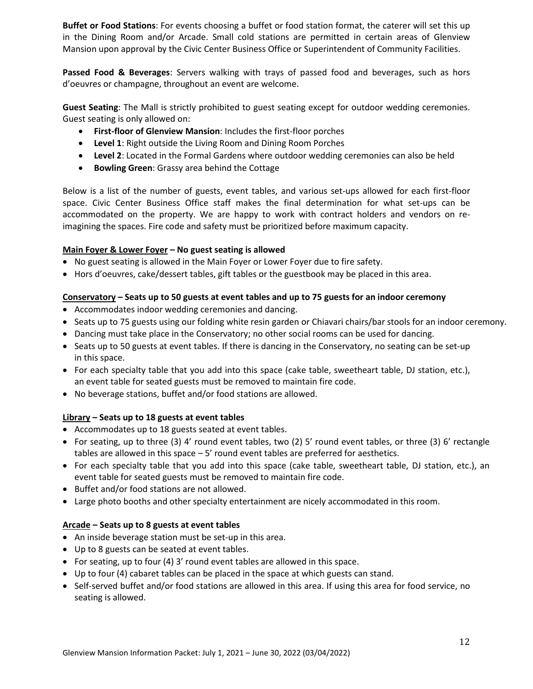**Buffet or Food Stations**: For events choosing a buffet or food station format, the caterer will set this up in the Dining Room and/or Arcade. Small cold stations are permitted in certain areas of Glenview Mansion upon approval by the Civic Center Business Office or Superintendent of Community Facilities.

**Passed Food & Beverages**: Servers walking with trays of passed food and beverages, such as hors d'oeuvres or champagne, throughout an event are welcome.

**Guest Seating**: The Mall is strictly prohibited to guest seating except for outdoor wedding ceremonies. Guest seating is only allowed on:

- **First-floor of Glenview Mansion**: Includes the first-floor porches
- **Level 1**: Right outside the Living Room and Dining Room Porches
- **Level 2**: Located in the Formal Gardens where outdoor wedding ceremonies can also be held
- **Bowling Green**: Grassy area behind the Cottage

Below is a list of the number of guests, event tables, and various set-ups allowed for each first-floor space. Civic Center Business Office staff makes the final determination for what set-ups can be accommodated on the property. We are happy to work with contract holders and vendors on reimagining the spaces. Fire code and safety must be prioritized before maximum capacity.

### **Main Foyer & Lower Foyer – No guest seating is allowed**

- No guest seating is allowed in the Main Foyer or Lower Foyer due to fire safety.
- Hors d'oeuvres, cake/dessert tables, gift tables or the guestbook may be placed in this area.

#### **Conservatory – Seats up to 50 guests at event tables and up to 75 guests for an indoor ceremony**

- Accommodates indoor wedding ceremonies and dancing.
- Seats up to 75 guests using our folding white resin garden or Chiavari chairs/bar stools for an indoor ceremony.
- Dancing must take place in the Conservatory; no other social rooms can be used for dancing.
- Seats up to 50 guests at event tables. If there is dancing in the Conservatory, no seating can be set-up in this space.
- For each specialty table that you add into this space (cake table, sweetheart table, DJ station, etc.), an event table for seated guests must be removed to maintain fire code.
- No beverage stations, buffet and/or food stations are allowed.

### **Library – Seats up to 18 guests at event tables**

- Accommodates up to 18 guests seated at event tables.
- For seating, up to three (3) 4' round event tables, two (2) 5' round event tables, or three (3) 6' rectangle tables are allowed in this space – 5' round event tables are preferred for aesthetics.
- For each specialty table that you add into this space (cake table, sweetheart table, DJ station, etc.), an event table for seated guests must be removed to maintain fire code.
- Buffet and/or food stations are not allowed.
- Large photo booths and other specialty entertainment are nicely accommodated in this room.

### **Arcade – Seats up to 8 guests at event tables**

- An inside beverage station must be set-up in this area.
- Up to 8 guests can be seated at event tables.
- For seating, up to four (4) 3' round event tables are allowed in this space.
- Up to four (4) cabaret tables can be placed in the space at which guests can stand.
- Self-served buffet and/or food stations are allowed in this area. If using this area for food service, no seating is allowed.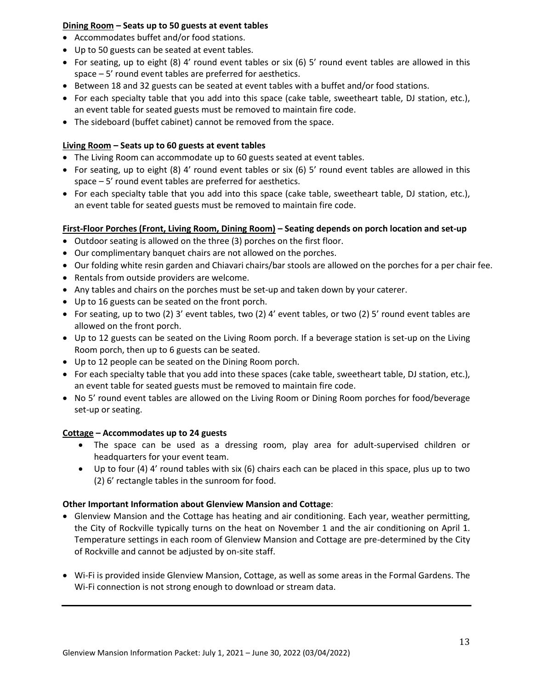## **Dining Room – Seats up to 50 guests at event tables**

- Accommodates buffet and/or food stations.
- Up to 50 guests can be seated at event tables.
- For seating, up to eight (8) 4' round event tables or six (6) 5' round event tables are allowed in this space – 5' round event tables are preferred for aesthetics.
- Between 18 and 32 guests can be seated at event tables with a buffet and/or food stations.
- For each specialty table that you add into this space (cake table, sweetheart table, DJ station, etc.), an event table for seated guests must be removed to maintain fire code.
- The sideboard (buffet cabinet) cannot be removed from the space.

## **Living Room – Seats up to 60 guests at event tables**

- The Living Room can accommodate up to 60 guests seated at event tables.
- For seating, up to eight (8) 4' round event tables or six (6) 5' round event tables are allowed in this space – 5' round event tables are preferred for aesthetics.
- For each specialty table that you add into this space (cake table, sweetheart table, DJ station, etc.), an event table for seated guests must be removed to maintain fire code.

## **First-Floor Porches (Front, Living Room, Dining Room) – Seating depends on porch location and set-up**

- Outdoor seating is allowed on the three (3) porches on the first floor.
- Our complimentary banquet chairs are not allowed on the porches.
- Our folding white resin garden and Chiavari chairs/bar stools are allowed on the porches for a per chair fee.
- Rentals from outside providers are welcome.
- Any tables and chairs on the porches must be set-up and taken down by your caterer.
- Up to 16 guests can be seated on the front porch.
- For seating, up to two (2) 3' event tables, two (2) 4' event tables, or two (2) 5' round event tables are allowed on the front porch.
- Up to 12 guests can be seated on the Living Room porch. If a beverage station is set-up on the Living Room porch, then up to 6 guests can be seated.
- Up to 12 people can be seated on the Dining Room porch.
- For each specialty table that you add into these spaces (cake table, sweetheart table, DJ station, etc.), an event table for seated guests must be removed to maintain fire code.
- No 5' round event tables are allowed on the Living Room or Dining Room porches for food/beverage set-up or seating.

## **Cottage – Accommodates up to 24 guests**

- The space can be used as a dressing room, play area for adult-supervised children or headquarters for your event team.
- Up to four (4) 4' round tables with six (6) chairs each can be placed in this space, plus up to two (2) 6' rectangle tables in the sunroom for food.

## **Other Important Information about Glenview Mansion and Cottage**:

- Glenview Mansion and the Cottage has heating and air conditioning. Each year, weather permitting, the City of Rockville typically turns on the heat on November 1 and the air conditioning on April 1. Temperature settings in each room of Glenview Mansion and Cottage are pre-determined by the City of Rockville and cannot be adjusted by on-site staff.
- Wi-Fi is provided inside Glenview Mansion, Cottage, as well as some areas in the Formal Gardens. The Wi-Fi connection is not strong enough to download or stream data.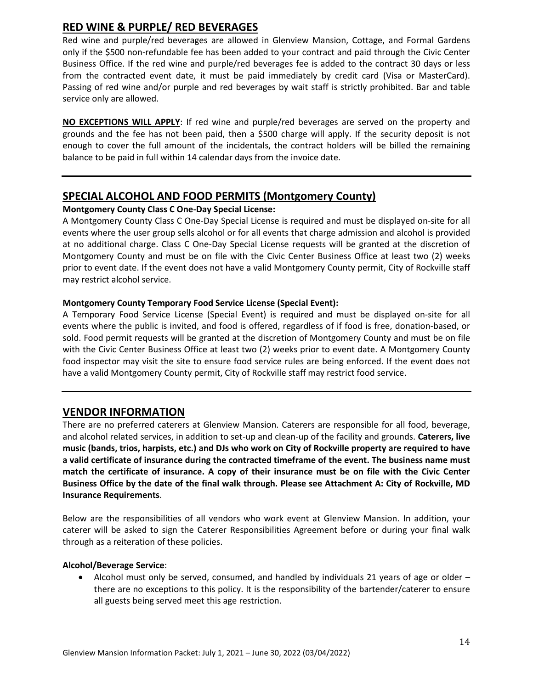# **RED WINE & PURPLE/ RED BEVERAGES**

Red wine and purple/red beverages are allowed in Glenview Mansion, Cottage, and Formal Gardens only if the \$500 non-refundable fee has been added to your contract and paid through the Civic Center Business Office. If the red wine and purple/red beverages fee is added to the contract 30 days or less from the contracted event date, it must be paid immediately by credit card (Visa or MasterCard). Passing of red wine and/or purple and red beverages by wait staff is strictly prohibited. Bar and table service only are allowed.

**NO EXCEPTIONS WILL APPLY**: If red wine and purple/red beverages are served on the property and grounds and the fee has not been paid, then a \$500 charge will apply. If the security deposit is not enough to cover the full amount of the incidentals, the contract holders will be billed the remaining balance to be paid in full within 14 calendar days from the invoice date.

## **SPECIAL ALCOHOL AND FOOD PERMITS (Montgomery County)**

### **Montgomery County Class C One-Day Special License:**

A Montgomery County Class C One-Day Special License is required and must be displayed on-site for all events where the user group sells alcohol or for all events that charge admission and alcohol is provided at no additional charge. Class C One-Day Special License requests will be granted at the discretion of Montgomery County and must be on file with the Civic Center Business Office at least two (2) weeks prior to event date. If the event does not have a valid Montgomery County permit, City of Rockville staff may restrict alcohol service.

## **Montgomery County Temporary Food Service License (Special Event):**

A Temporary Food Service License (Special Event) is required and must be displayed on-site for all events where the public is invited, and food is offered, regardless of if food is free, donation-based, or sold. Food permit requests will be granted at the discretion of Montgomery County and must be on file with the Civic Center Business Office at least two (2) weeks prior to event date. A Montgomery County food inspector may visit the site to ensure food service rules are being enforced. If the event does not have a valid Montgomery County permit, City of Rockville staff may restrict food service.

## **VENDOR INFORMATION**

There are no preferred caterers at Glenview Mansion. Caterers are responsible for all food, beverage, and alcohol related services, in addition to set-up and clean-up of the facility and grounds. **Caterers, live music (bands, trios, harpists, etc.) and DJs who work on City of Rockville property are required to have a valid certificate of insurance during the contracted timeframe of the event. The business name must match the certificate of insurance. A copy of their insurance must be on file with the Civic Center Business Office by the date of the final walk through. Please see Attachment A: City of Rockville, MD Insurance Requirements**.

Below are the responsibilities of all vendors who work event at Glenview Mansion. In addition, your caterer will be asked to sign the Caterer Responsibilities Agreement before or during your final walk through as a reiteration of these policies.

### **Alcohol/Beverage Service**:

• Alcohol must only be served, consumed, and handled by individuals 21 years of age or older – there are no exceptions to this policy. It is the responsibility of the bartender/caterer to ensure all guests being served meet this age restriction.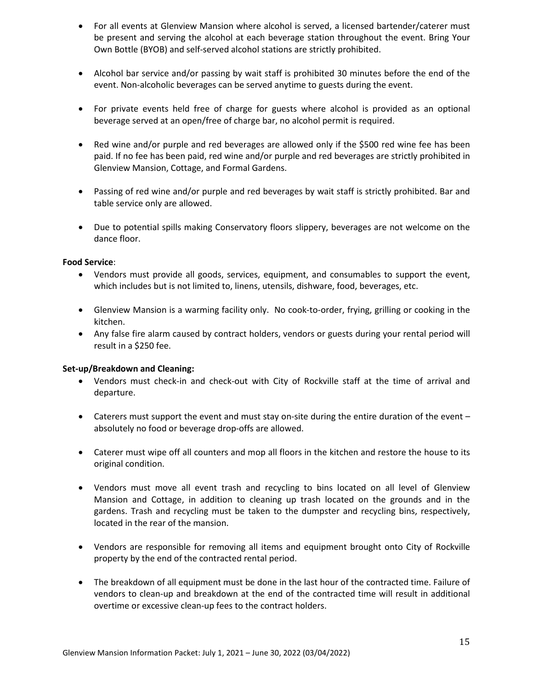- For all events at Glenview Mansion where alcohol is served, a licensed bartender/caterer must be present and serving the alcohol at each beverage station throughout the event. Bring Your Own Bottle (BYOB) and self-served alcohol stations are strictly prohibited.
- Alcohol bar service and/or passing by wait staff is prohibited 30 minutes before the end of the event. Non-alcoholic beverages can be served anytime to guests during the event.
- For private events held free of charge for guests where alcohol is provided as an optional beverage served at an open/free of charge bar, no alcohol permit is required.
- Red wine and/or purple and red beverages are allowed only if the \$500 red wine fee has been paid. If no fee has been paid, red wine and/or purple and red beverages are strictly prohibited in Glenview Mansion, Cottage, and Formal Gardens.
- Passing of red wine and/or purple and red beverages by wait staff is strictly prohibited. Bar and table service only are allowed.
- Due to potential spills making Conservatory floors slippery, beverages are not welcome on the dance floor.

#### **Food Service**:

- Vendors must provide all goods, services, equipment, and consumables to support the event, which includes but is not limited to, linens, utensils, dishware, food, beverages, etc.
- Glenview Mansion is a warming facility only. No cook-to-order, frying, grilling or cooking in the kitchen.
- Any false fire alarm caused by contract holders, vendors or guests during your rental period will result in a \$250 fee.

### **Set-up/Breakdown and Cleaning:**

- Vendors must check-in and check-out with City of Rockville staff at the time of arrival and departure.
- Caterers must support the event and must stay on-site during the entire duration of the event absolutely no food or beverage drop-offs are allowed.
- Caterer must wipe off all counters and mop all floors in the kitchen and restore the house to its original condition.
- Vendors must move all event trash and recycling to bins located on all level of Glenview Mansion and Cottage, in addition to cleaning up trash located on the grounds and in the gardens. Trash and recycling must be taken to the dumpster and recycling bins, respectively, located in the rear of the mansion.
- Vendors are responsible for removing all items and equipment brought onto City of Rockville property by the end of the contracted rental period.
- The breakdown of all equipment must be done in the last hour of the contracted time. Failure of vendors to clean-up and breakdown at the end of the contracted time will result in additional overtime or excessive clean-up fees to the contract holders.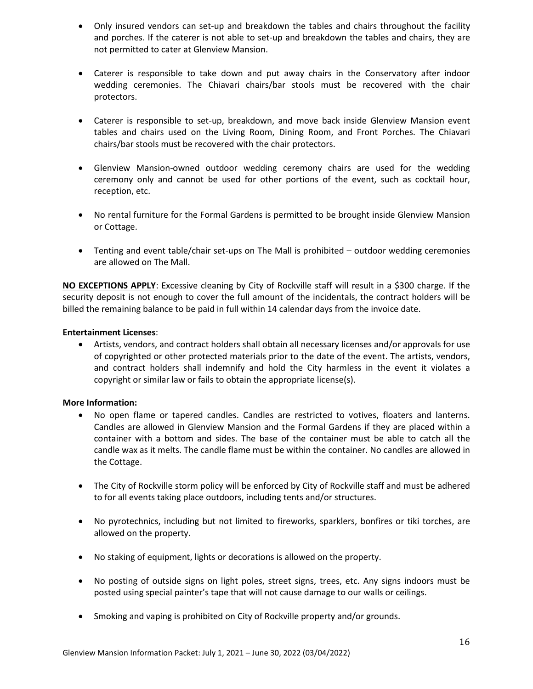- Only insured vendors can set-up and breakdown the tables and chairs throughout the facility and porches. If the caterer is not able to set-up and breakdown the tables and chairs, they are not permitted to cater at Glenview Mansion.
- Caterer is responsible to take down and put away chairs in the Conservatory after indoor wedding ceremonies. The Chiavari chairs/bar stools must be recovered with the chair protectors.
- Caterer is responsible to set-up, breakdown, and move back inside Glenview Mansion event tables and chairs used on the Living Room, Dining Room, and Front Porches. The Chiavari chairs/bar stools must be recovered with the chair protectors.
- Glenview Mansion-owned outdoor wedding ceremony chairs are used for the wedding ceremony only and cannot be used for other portions of the event, such as cocktail hour, reception, etc.
- No rental furniture for the Formal Gardens is permitted to be brought inside Glenview Mansion or Cottage.
- Tenting and event table/chair set-ups on The Mall is prohibited outdoor wedding ceremonies are allowed on The Mall.

**NO EXCEPTIONS APPLY**: Excessive cleaning by City of Rockville staff will result in a \$300 charge. If the security deposit is not enough to cover the full amount of the incidentals, the contract holders will be billed the remaining balance to be paid in full within 14 calendar days from the invoice date.

### **Entertainment Licenses**:

• Artists, vendors, and contract holders shall obtain all necessary licenses and/or approvals for use of copyrighted or other protected materials prior to the date of the event. The artists, vendors, and contract holders shall indemnify and hold the City harmless in the event it violates a copyright or similar law or fails to obtain the appropriate license(s).

### **More Information:**

- No open flame or tapered candles. Candles are restricted to votives, floaters and lanterns. Candles are allowed in Glenview Mansion and the Formal Gardens if they are placed within a container with a bottom and sides. The base of the container must be able to catch all the candle wax as it melts. The candle flame must be within the container. No candles are allowed in the Cottage.
- The City of Rockville storm policy will be enforced by City of Rockville staff and must be adhered to for all events taking place outdoors, including tents and/or structures.
- No pyrotechnics, including but not limited to fireworks, sparklers, bonfires or tiki torches, are allowed on the property.
- No staking of equipment, lights or decorations is allowed on the property.
- No posting of outside signs on light poles, street signs, trees, etc. Any signs indoors must be posted using special painter's tape that will not cause damage to our walls or ceilings.
- Smoking and vaping is prohibited on City of Rockville property and/or grounds.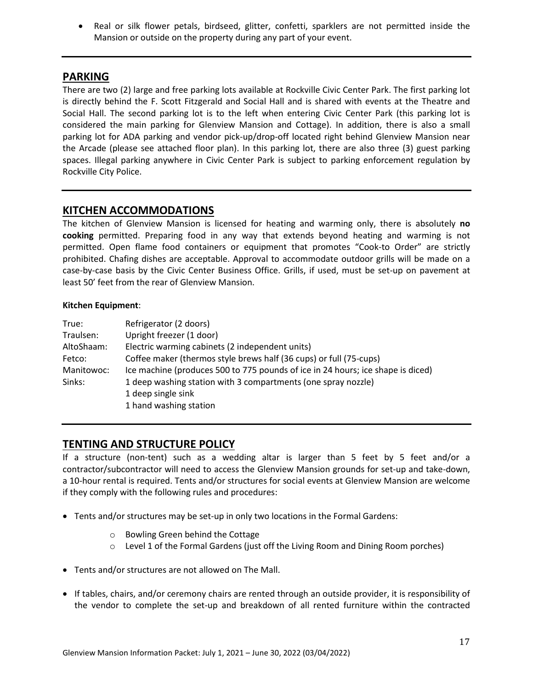• Real or silk flower petals, birdseed, glitter, confetti, sparklers are not permitted inside the Mansion or outside on the property during any part of your event.

## **PARKING**

There are two (2) large and free parking lots available at Rockville Civic Center Park. The first parking lot is directly behind the F. Scott Fitzgerald and Social Hall and is shared with events at the Theatre and Social Hall. The second parking lot is to the left when entering Civic Center Park (this parking lot is considered the main parking for Glenview Mansion and Cottage). In addition, there is also a small parking lot for ADA parking and vendor pick-up/drop-off located right behind Glenview Mansion near the Arcade (please see attached floor plan). In this parking lot, there are also three (3) guest parking spaces. Illegal parking anywhere in Civic Center Park is subject to parking enforcement regulation by Rockville City Police.

## **KITCHEN ACCOMMODATIONS**

The kitchen of Glenview Mansion is licensed for heating and warming only, there is absolutely **no cooking** permitted. Preparing food in any way that extends beyond heating and warming is not permitted. Open flame food containers or equipment that promotes "Cook-to Order" are strictly prohibited. Chafing dishes are acceptable. Approval to accommodate outdoor grills will be made on a case-by-case basis by the Civic Center Business Office. Grills, if used, must be set-up on pavement at least 50' feet from the rear of Glenview Mansion.

### **Kitchen Equipment**:

| True:      | Refrigerator (2 doors)                                                          |
|------------|---------------------------------------------------------------------------------|
| Traulsen:  | Upright freezer (1 door)                                                        |
| AltoShaam: | Electric warming cabinets (2 independent units)                                 |
| Fetco:     | Coffee maker (thermos style brews half (36 cups) or full (75-cups)              |
| Manitowoc: | Ice machine (produces 500 to 775 pounds of ice in 24 hours; ice shape is diced) |
| Sinks:     | 1 deep washing station with 3 compartments (one spray nozzle)                   |
|            | 1 deep single sink                                                              |
|            | 1 hand washing station                                                          |

## **TENTING AND STRUCTURE POLICY**

If a structure (non-tent) such as a wedding altar is larger than 5 feet by 5 feet and/or a contractor/subcontractor will need to access the Glenview Mansion grounds for set-up and take-down, a 10-hour rental is required. Tents and/or structures for social events at Glenview Mansion are welcome if they comply with the following rules and procedures:

- Tents and/or structures may be set-up in only two locations in the Formal Gardens:
	- o Bowling Green behind the Cottage
	- $\circ$  Level 1 of the Formal Gardens (just off the Living Room and Dining Room porches)
- Tents and/or structures are not allowed on The Mall.
- If tables, chairs, and/or ceremony chairs are rented through an outside provider, it is responsibility of the vendor to complete the set-up and breakdown of all rented furniture within the contracted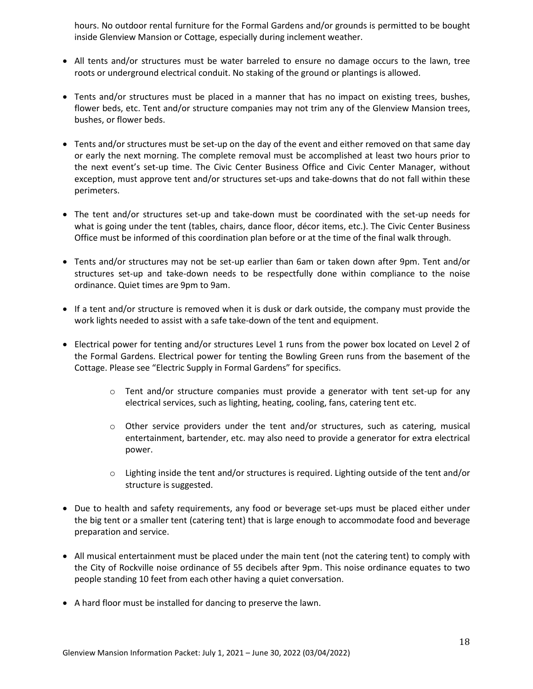hours. No outdoor rental furniture for the Formal Gardens and/or grounds is permitted to be bought inside Glenview Mansion or Cottage, especially during inclement weather.

- All tents and/or structures must be water barreled to ensure no damage occurs to the lawn, tree roots or underground electrical conduit. No staking of the ground or plantings is allowed.
- Tents and/or structures must be placed in a manner that has no impact on existing trees, bushes, flower beds, etc. Tent and/or structure companies may not trim any of the Glenview Mansion trees, bushes, or flower beds.
- Tents and/or structures must be set-up on the day of the event and either removed on that same day or early the next morning. The complete removal must be accomplished at least two hours prior to the next event's set-up time. The Civic Center Business Office and Civic Center Manager, without exception, must approve tent and/or structures set-ups and take-downs that do not fall within these perimeters.
- The tent and/or structures set-up and take-down must be coordinated with the set-up needs for what is going under the tent (tables, chairs, dance floor, décor items, etc.). The Civic Center Business Office must be informed of this coordination plan before or at the time of the final walk through.
- Tents and/or structures may not be set-up earlier than 6am or taken down after 9pm. Tent and/or structures set-up and take-down needs to be respectfully done within compliance to the noise ordinance. Quiet times are 9pm to 9am.
- If a tent and/or structure is removed when it is dusk or dark outside, the company must provide the work lights needed to assist with a safe take-down of the tent and equipment.
- Electrical power for tenting and/or structures Level 1 runs from the power box located on Level 2 of the Formal Gardens. Electrical power for tenting the Bowling Green runs from the basement of the Cottage. Please see "Electric Supply in Formal Gardens" for specifics.
	- $\circ$  Tent and/or structure companies must provide a generator with tent set-up for any electrical services, such as lighting, heating, cooling, fans, catering tent etc.
	- $\circ$  Other service providers under the tent and/or structures, such as catering, musical entertainment, bartender, etc. may also need to provide a generator for extra electrical power.
	- o Lighting inside the tent and/or structures is required. Lighting outside of the tent and/or structure is suggested.
- Due to health and safety requirements, any food or beverage set-ups must be placed either under the big tent or a smaller tent (catering tent) that is large enough to accommodate food and beverage preparation and service.
- All musical entertainment must be placed under the main tent (not the catering tent) to comply with the City of Rockville noise ordinance of 55 decibels after 9pm. This noise ordinance equates to two people standing 10 feet from each other having a quiet conversation.
- A hard floor must be installed for dancing to preserve the lawn.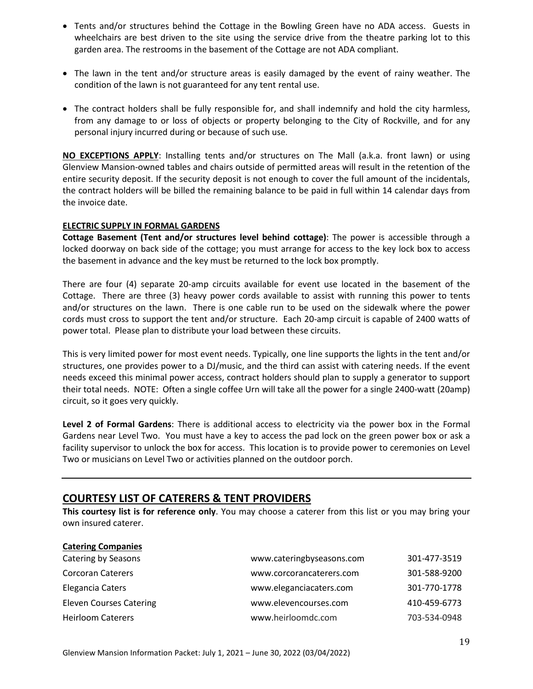- Tents and/or structures behind the Cottage in the Bowling Green have no ADA access. Guests in wheelchairs are best driven to the site using the service drive from the theatre parking lot to this garden area. The restrooms in the basement of the Cottage are not ADA compliant.
- The lawn in the tent and/or structure areas is easily damaged by the event of rainy weather. The condition of the lawn is not guaranteed for any tent rental use.
- The contract holders shall be fully responsible for, and shall indemnify and hold the city harmless, from any damage to or loss of objects or property belonging to the City of Rockville, and for any personal injury incurred during or because of such use.

**NO EXCEPTIONS APPLY**: Installing tents and/or structures on The Mall (a.k.a. front lawn) or using Glenview Mansion-owned tables and chairs outside of permitted areas will result in the retention of the entire security deposit. If the security deposit is not enough to cover the full amount of the incidentals, the contract holders will be billed the remaining balance to be paid in full within 14 calendar days from the invoice date.

### **ELECTRIC SUPPLY IN FORMAL GARDENS**

**Cottage Basement (Tent and/or structures level behind cottage)**: The power is accessible through a locked doorway on back side of the cottage; you must arrange for access to the key lock box to access the basement in advance and the key must be returned to the lock box promptly.

There are four (4) separate 20-amp circuits available for event use located in the basement of the Cottage. There are three (3) heavy power cords available to assist with running this power to tents and/or structures on the lawn. There is one cable run to be used on the sidewalk where the power cords must cross to support the tent and/or structure. Each 20-amp circuit is capable of 2400 watts of power total. Please plan to distribute your load between these circuits.

This is very limited power for most event needs. Typically, one line supports the lights in the tent and/or structures, one provides power to a DJ/music, and the third can assist with catering needs. If the event needs exceed this minimal power access, contract holders should plan to supply a generator to support their total needs. NOTE: Often a single coffee Urn will take all the power for a single 2400-watt (20amp) circuit, so it goes very quickly.

**Level 2 of Formal Gardens**: There is additional access to electricity via the power box in the Formal Gardens near Level Two. You must have a key to access the pad lock on the green power box or ask a facility supervisor to unlock the box for access. This location is to provide power to ceremonies on Level Two or musicians on Level Two or activities planned on the outdoor porch.

## **COURTESY LIST OF CATERERS & TENT PROVIDERS**

**This courtesy list is for reference only**. You may choose a caterer from this list or you may bring your own insured caterer.

| <b>Catering Companies</b>      |                           |              |
|--------------------------------|---------------------------|--------------|
| Catering by Seasons            | www.cateringbyseasons.com | 301-477-3519 |
| <b>Corcoran Caterers</b>       | www.corcorancaterers.com  | 301-588-9200 |
| Elegancia Caters               | www.eleganciacaters.com   | 301-770-1778 |
| <b>Eleven Courses Catering</b> | www.elevencourses.com     | 410-459-6773 |
| <b>Heirloom Caterers</b>       | www.heirloomdc.com        | 703-534-0948 |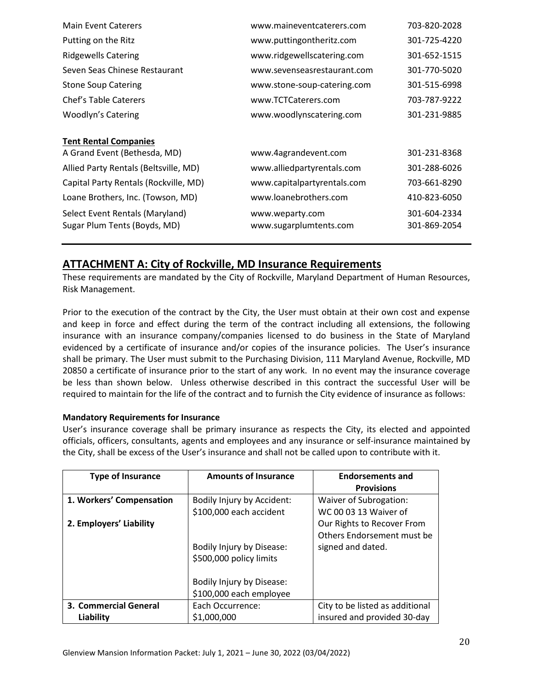## **ATTACHMENT A: City of Rockville, MD Insurance Requirements**

These requirements are mandated by the City of Rockville, Maryland Department of Human Resources, Risk Management.

Prior to the execution of the contract by the City, the User must obtain at their own cost and expense and keep in force and effect during the term of the contract including all extensions, the following insurance with an insurance company/companies licensed to do business in the State of Maryland evidenced by a certificate of insurance and/or copies of the insurance policies. The User's insurance shall be primary. The User must submit to the Purchasing Division, 111 Maryland Avenue, Rockville, MD 20850 a certificate of insurance prior to the start of any work. In no event may the insurance coverage be less than shown below. Unless otherwise described in this contract the successful User will be required to maintain for the life of the contract and to furnish the City evidence of insurance as follows:

### **Mandatory Requirements for Insurance**

User's insurance coverage shall be primary insurance as respects the City, its elected and appointed officials, officers, consultants, agents and employees and any insurance or self-insurance maintained by the City, shall be excess of the User's insurance and shall not be called upon to contribute with it.

| <b>Type of Insurance</b> | <b>Amounts of Insurance</b>                           | <b>Endorsements and</b><br><b>Provisions</b>                                  |
|--------------------------|-------------------------------------------------------|-------------------------------------------------------------------------------|
| 1. Workers' Compensation | Bodily Injury by Accident:<br>\$100,000 each accident | Waiver of Subrogation:<br>WC 00 03 13 Waiver of                               |
| 2. Employers' Liability  | Bodily Injury by Disease:                             | Our Rights to Recover From<br>Others Endorsement must be<br>signed and dated. |
|                          | \$500,000 policy limits                               |                                                                               |
|                          | Bodily Injury by Disease:<br>\$100,000 each employee  |                                                                               |
| 3. Commercial General    | Each Occurrence:                                      | City to be listed as additional                                               |
| Liability                | \$1,000,000                                           | insured and provided 30-day                                                   |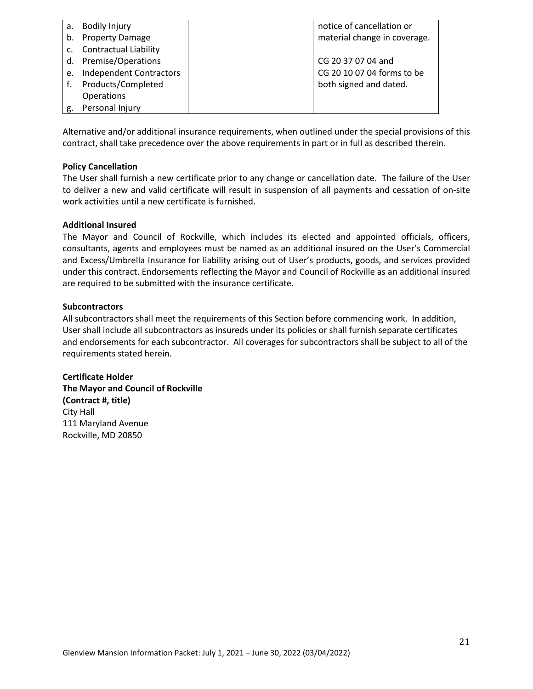| a.             | <b>Bodily Injury</b>           | notice of cancellation or    |
|----------------|--------------------------------|------------------------------|
| b.             | <b>Property Damage</b>         | material change in coverage. |
| $\mathsf{c}$ . | <b>Contractual Liability</b>   |                              |
|                | d. Premise/Operations          | CG 20 37 07 04 and           |
| e.             | <b>Independent Contractors</b> | CG 20 10 07 04 forms to be   |
|                | Products/Completed             | both signed and dated.       |
|                | Operations                     |                              |
|                | Personal Injury                |                              |

Alternative and/or additional insurance requirements, when outlined under the special provisions of this contract, shall take precedence over the above requirements in part or in full as described therein.

#### **Policy Cancellation**

The User shall furnish a new certificate prior to any change or cancellation date. The failure of the User to deliver a new and valid certificate will result in suspension of all payments and cessation of on-site work activities until a new certificate is furnished.

#### **Additional Insured**

The Mayor and Council of Rockville, which includes its elected and appointed officials, officers, consultants, agents and employees must be named as an additional insured on the User's Commercial and Excess/Umbrella Insurance for liability arising out of User's products, goods, and services provided under this contract. Endorsements reflecting the Mayor and Council of Rockville as an additional insured are required to be submitted with the insurance certificate.

#### **Subcontractors**

All subcontractors shall meet the requirements of this Section before commencing work. In addition, User shall include all subcontractors as insureds under its policies or shall furnish separate certificates and endorsements for each subcontractor. All coverages for subcontractors shall be subject to all of the requirements stated herein.

**Certificate Holder The Mayor and Council of Rockville (Contract #, title)** City Hall 111 Maryland Avenue Rockville, MD 20850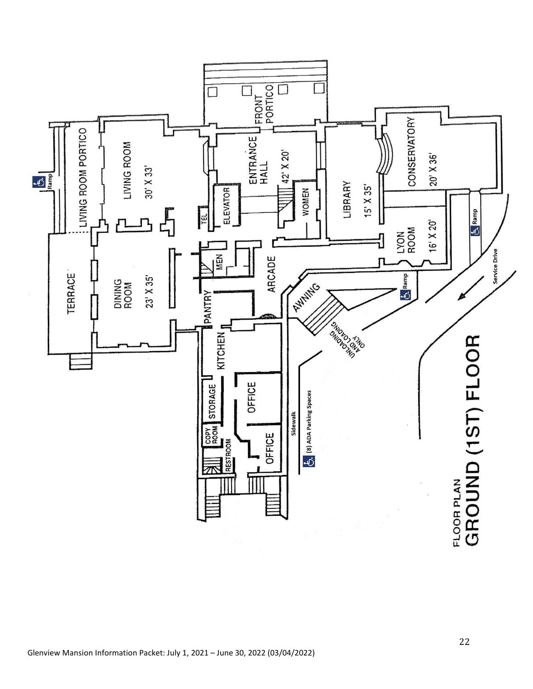